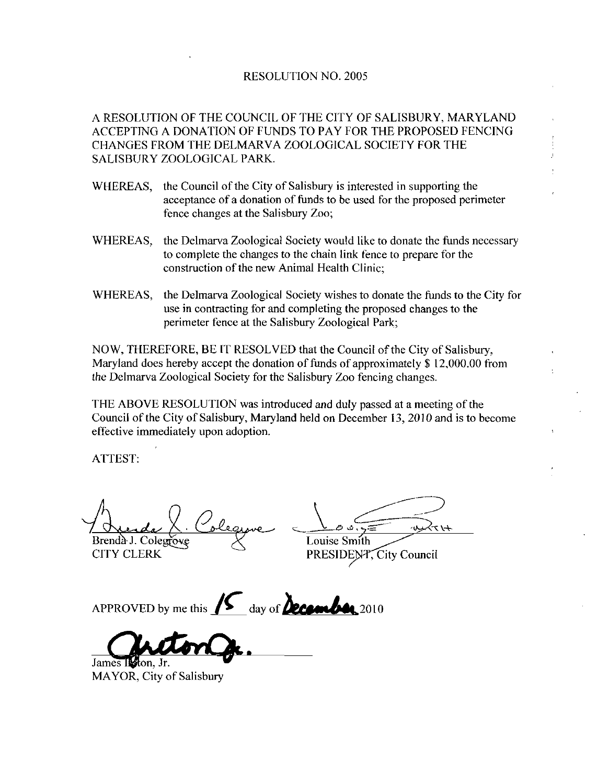## RESOLUTION NO. 2005

A RESOLUTION OF THE COUNCIL OF THE CITY OF SALISBURY MARYLAND ACCEPTING A DONATION OF FUNDS TO PAY FOR THE PROPOSED FENCING CHANGES FROM THE DELMARVA ZOOLOGICAL SOCIETY FOR THE SALISBURY ZOOLOGICAL PARK

- WHEREAS, the Council of the City of Salisbury is interested in supporting the acceptance of a donation of funds to be used for the proposed perimeter fence changes at the Salisbury Zoo
- WHEREAS, the Delmarva Zoological Society would like to donate the funds necessary to complete the changes to the chain link fence to prepare for the construction of the new Animal Health Clinic
- WHEREAS, the Delmarva Zoological Society wishes to donate the funds to the City for use in contracting for and completing the proposed changes to the perimeter fence at the Salisbury Zoological Park;

NOW, THEREFORE, BE IT RESOLVED that the Council of the City of Salisbury, Maryland does hereby accept the donation of funds of approximately  $$12,000.00$  from the Delmazva Zoological Society for the Salisbury Zoo fencing changes

THE ABOVE RESOLUTION was introduced and duly passed at a meeting of the Council of the City of Salisbury, Maryland held on December 13, 2010 and is to become effective immediately upon adoption

ATTEST

Brendà J. Colegrowe  $\chi$  Louise Smith<br>CITY CLERK PRESIDENT

PRESIDENT, City Council

APPROVED by me this  $\sqrt{2}$  day of **2010**  $\sqrt{2}$ 

APPROVED by me

MAYOR, City of Salisbury